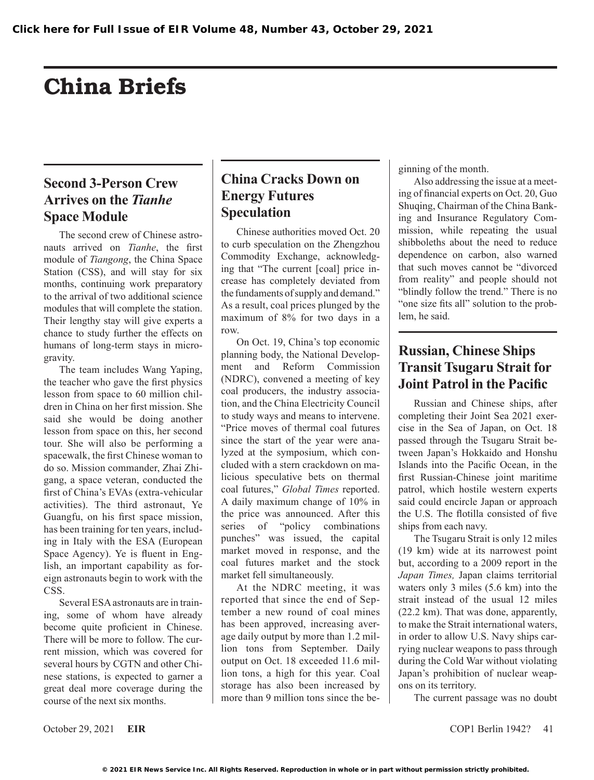# China Briefs

## **Second 3-Person Crew Arrives on the** *Tianhe* **Space Module**

The second crew of Chinese astronauts arrived on *Tianhe*, the first module of *Tiangong*, the China Space Station (CSS), and will stay for six months, continuing work preparatory to the arrival of two additional science modules that will complete the station. Their lengthy stay will give experts a chance to study further the effects on humans of long-term stays in microgravity.

The team includes Wang Yaping, the teacher who gave the first physics lesson from space to 60 million children in China on her first mission. She said she would be doing another lesson from space on this, her second tour. She will also be performing a spacewalk, the first Chinese woman to do so. Mission commander, Zhai Zhigang, a space veteran, conducted the first of China's EVAs (extra-vehicular activities). The third astronaut, Ye Guangfu, on his first space mission, has been training for ten years, including in Italy with the ESA (European Space Agency). Ye is fluent in English, an important capability as foreign astronauts begin to work with the CSS.

Several ESA astronauts are in training, some of whom have already become quite proficient in Chinese. There will be more to follow. The current mission, which was covered for several hours by CGTN and other Chinese stations, is expected to garner a great deal more coverage during the course of the next six months.

#### **China Cracks Down on Energy Futures Speculation**

Chinese authorities moved Oct. 20 to curb speculation on the Zhengzhou Commodity Exchange, acknowledging that "The current [coal] price increase has completely deviated from the fundaments of supply and demand." As a result, coal prices plunged by the maximum of 8% for two days in a row.

On Oct. 19, China's top economic planning body, the National Development and Reform Commission (NDRC), convened a meeting of key coal producers, the industry association, and the China Electricity Council to study ways and means to intervene. "Price moves of thermal coal futures since the start of the year were analyzed at the symposium, which concluded with a stern crackdown on malicious speculative bets on thermal coal futures," *Global Times* reported. A daily maximum change of 10% in the price was announced. After this series of "policy combinations punches" was issued, the capital market moved in response, and the coal futures market and the stock market fell simultaneously.

At the NDRC meeting, it was reported that since the end of September a new round of coal mines has been approved, increasing average daily output by more than 1.2 million tons from September. Daily output on Oct. 18 exceeded 11.6 million tons, a high for this year. Coal storage has also been increased by more than 9 million tons since the beginning of the month.

Also addressing the issue at a meeting of financial experts on Oct. 20, Guo Shuqing, Chairman of the China Banking and Insurance Regulatory Commission, while repeating the usual shibboleths about the need to reduce dependence on carbon, also warned that such moves cannot be "divorced from reality" and people should not "blindly follow the trend." There is no "one size fits all" solution to the problem, he said.

#### **Russian, Chinese Ships Transit Tsugaru Strait for Joint Patrol in the Pacific**

Russian and Chinese ships, after completing their Joint Sea 2021 exercise in the Sea of Japan, on Oct. 18 passed through the Tsugaru Strait between Japan's Hokkaido and Honshu Islands into the Pacific Ocean, in the first Russian-Chinese joint maritime patrol, which hostile western experts said could encircle Japan or approach the U.S. The flotilla consisted of five ships from each navy.

The Tsugaru Strait is only 12 miles (19 km) wide at its narrowest point but, according to a 2009 report in the *Japan Times,* Japan claims territorial waters only 3 miles (5.6 km) into the strait instead of the usual 12 miles (22.2 km). That was done, apparently, to make the Strait international waters, in order to allow U.S. Navy ships carrying nuclear weapons to pass through during the Cold War without violating Japan's prohibition of nuclear weapons on its territory.

The current passage was no doubt

October 29, 2021 **EIR** COP1 Berlin 1942? 41